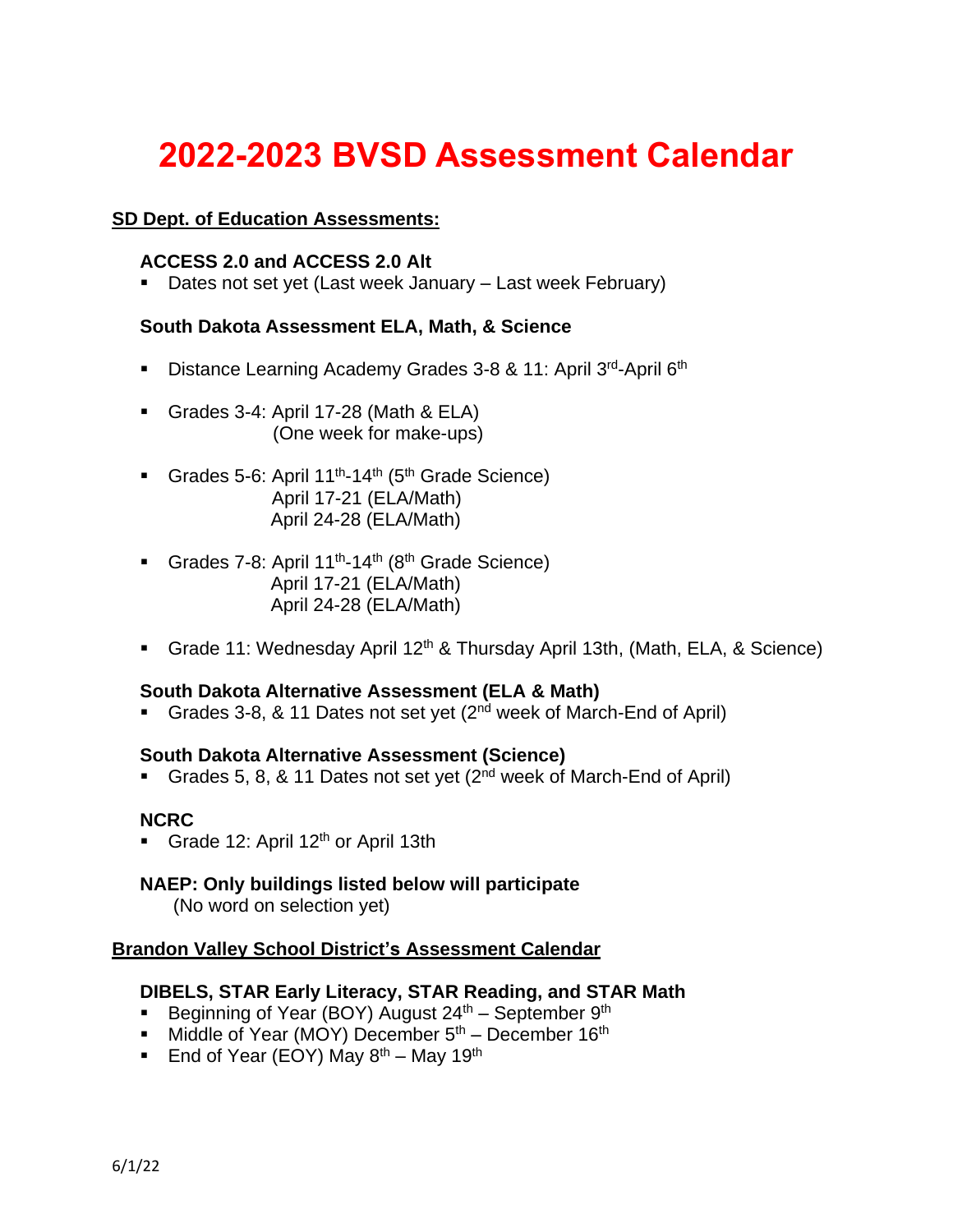# **2022-2023 BVSD Assessment Calendar**

## **SD Dept. of Education Assessments:**

#### **ACCESS 2.0 and ACCESS 2.0 Alt**

■ Dates not set yet (Last week January – Last week February)

#### **South Dakota Assessment ELA, Math, & Science**

- Distance Learning Academy Grades 3-8 & 11: April 3<sup>rd</sup>-April 6<sup>th</sup>
- Grades 3-4: April 17-28 (Math & ELA) (One week for make-ups)
- Grades 5-6: April 11<sup>th</sup>-14<sup>th</sup> (5<sup>th</sup> Grade Science) April 17-21 (ELA/Math) April 24-28 (ELA/Math)
- Grades 7-8: April 11<sup>th</sup>-14<sup>th</sup> (8<sup>th</sup> Grade Science) April 17-21 (ELA/Math) April 24-28 (ELA/Math)
- Grade 11: Wednesday April 12<sup>th</sup> & Thursday April 13th, (Math, ELA, & Science)

#### **South Dakota Alternative Assessment (ELA & Math)**

■ Grades 3-8, & 11 Dates not set yet (2<sup>nd</sup> week of March-End of April)

#### **South Dakota Alternative Assessment (Science)**

**• Grades 5, 8, & 11 Dates not set yet (2<sup>nd</sup> week of March-End of April)** 

#### **NCRC**

**• Grade 12: April 12<sup>th</sup> or April 13th** 

# **NAEP: Only buildings listed below will participate**

(No word on selection yet)

#### **Brandon Valley School District's Assessment Calendar**

#### **DIBELS, STAR Early Literacy, STAR Reading, and STAR Math**

- **•** Beginning of Year (BOY) August  $24<sup>th</sup>$  September  $9<sup>th</sup>$
- **■** Middle of Year (MOY) December  $5<sup>th</sup>$  December 16<sup>th</sup>
- **End of Year (EOY) May**  $8^{th}$  **May 19<sup>th</sup>**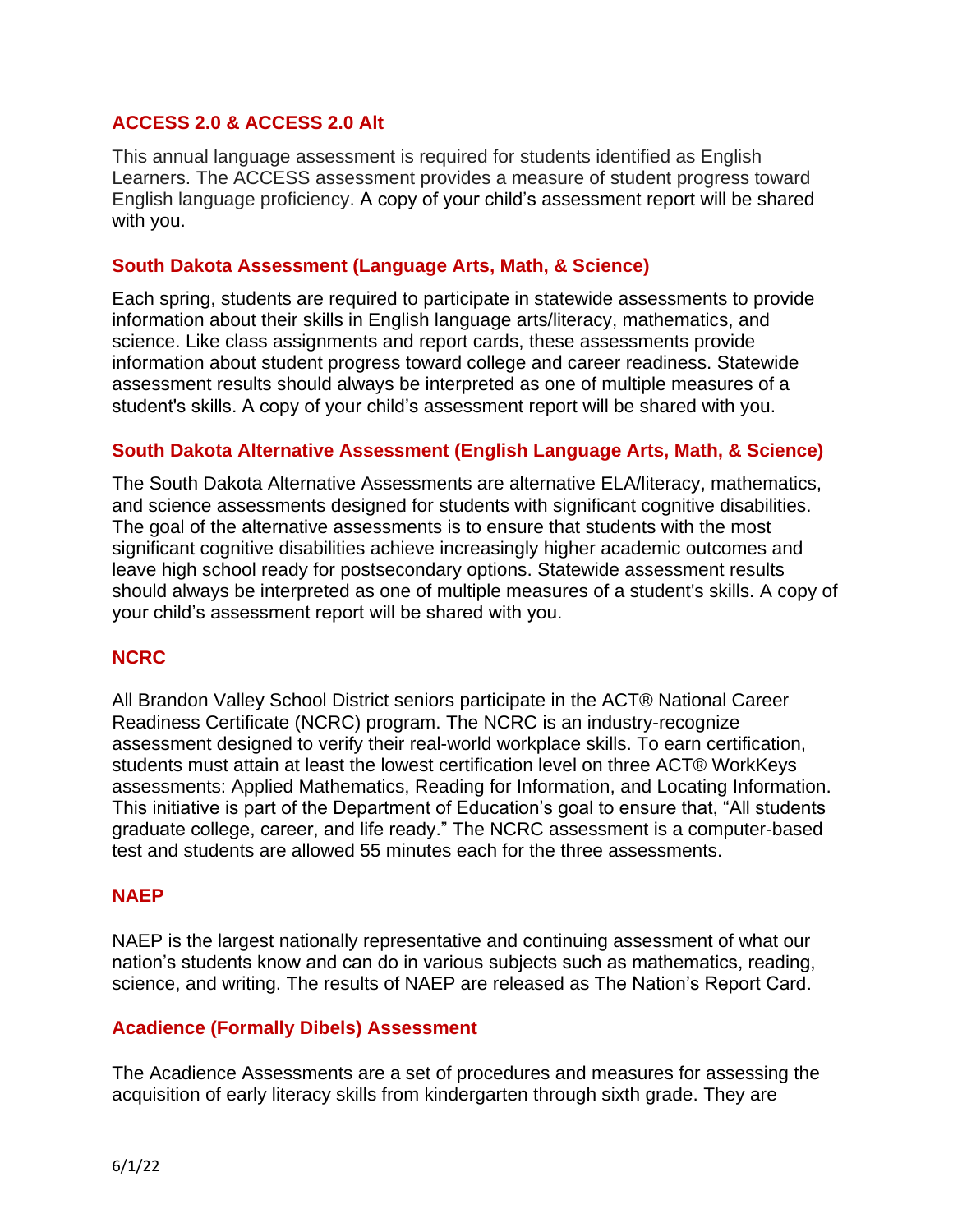# **ACCESS 2.0 & ACCESS 2.0 Alt**

This annual language assessment is required for students identified as English Learners. The ACCESS assessment provides a measure of student progress toward English language proficiency. A copy of your child's assessment report will be shared with you.

#### **South Dakota Assessment (Language Arts, Math, & Science)**

Each spring, students are required to participate in statewide assessments to provide information about their skills in English language arts/literacy, mathematics, and science. Like class assignments and report cards, these assessments provide information about student progress toward college and career readiness. Statewide assessment results should always be interpreted as one of multiple measures of a student's skills. A copy of your child's assessment report will be shared with you.

# **South Dakota Alternative Assessment (English Language Arts, Math, & Science)**

The South Dakota Alternative Assessments are alternative ELA/literacy, mathematics, and science assessments designed for students with significant cognitive disabilities. The goal of the alternative assessments is to ensure that students with the most significant cognitive disabilities achieve increasingly higher academic outcomes and leave high school ready for postsecondary options. Statewide assessment results should always be interpreted as one of multiple measures of a student's skills. A copy of your child's assessment report will be shared with you.

# **NCRC**

All Brandon Valley School District seniors participate in the ACT® National Career Readiness Certificate (NCRC) program. The NCRC is an industry-recognize assessment designed to verify their real-world workplace skills. To earn certification, students must attain at least the lowest certification level on three ACT® WorkKeys assessments: Applied Mathematics, Reading for Information, and Locating Information. This initiative is part of the Department of Education's goal to ensure that, "All students graduate college, career, and life ready." The NCRC assessment is a computer-based test and students are allowed 55 minutes each for the three assessments.

#### **NAEP**

NAEP is the largest nationally representative and continuing assessment of what our nation's students know and can do in various subjects such as mathematics, reading, science, and writing. The results of NAEP are released as The Nation's Report Card.

#### **Acadience (Formally Dibels) Assessment**

The Acadience Assessments are a set of procedures and measures for assessing the acquisition of early literacy skills from kindergarten through sixth grade. They are